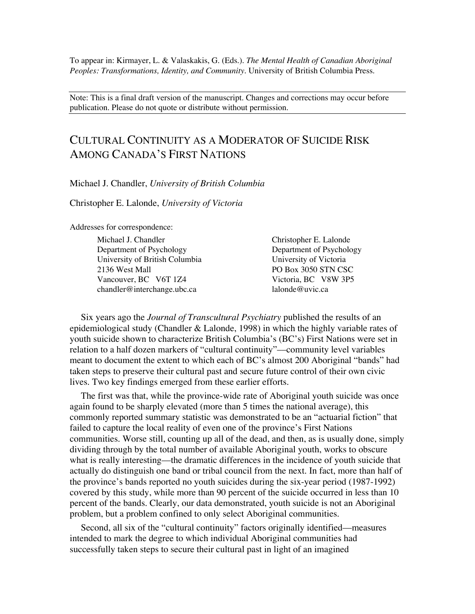To appear in: Kirmayer, L. & Valaskakis, G. (Eds.). *The Mental Health of Canadian Aboriginal Peoples: Transformations, Identity, and Community.* University of British Columbia Press.

Note: This is a final draft version of the manuscript. Changes and corrections may occur before publication. Please do not quote or distribute without permission.

# CULTURAL CONTINUITY AS A MODERATOR OF SUICIDE RISK AMONG CANADA'S FIRST NATIONS

#### Michael J. Chandler, *University of British Columbia*

Christopher E. Lalonde, *University of Victoria*

Addresses for correspondence:

| Michael J. Chandler            | Christopher E. Lalonde   |
|--------------------------------|--------------------------|
| Department of Psychology       | Department of Psychology |
| University of British Columbia | University of Victoria   |
| 2136 West Mall                 | PO Box 3050 STN CSC      |
| Vancouver, BC V6T 1Z4          | Victoria, BC V8W 3P5     |
| chandler@interchange.ubc.ca    | lalonde@uvic.ca          |
|                                |                          |

Six years ago the *Journal of Transcultural Psychiatry* published the results of an epidemiological study (Chandler & Lalonde, 1998) in which the highly variable rates of youth suicide shown to characterize British Columbia's (BC's) First Nations were set in relation to a half dozen markers of "cultural continuity"––community level variables meant to document the extent to which each of BC's almost 200 Aboriginal "bands" had taken steps to preserve their cultural past and secure future control of their own civic lives. Two key findings emerged from these earlier efforts.

The first was that, while the province-wide rate of Aboriginal youth suicide was once again found to be sharply elevated (more than 5 times the national average), this commonly reported summary statistic was demonstrated to be an "actuarial fiction" that failed to capture the local reality of even one of the province's First Nations communities. Worse still, counting up all of the dead, and then, as is usually done, simply dividing through by the total number of available Aboriginal youth, works to obscure what is really interesting––the dramatic differences in the incidence of youth suicide that actually do distinguish one band or tribal council from the next. In fact, more than half of the province's bands reported no youth suicides during the six-year period (1987-1992) covered by this study, while more than 90 percent of the suicide occurred in less than 10 percent of the bands. Clearly, our data demonstrated, youth suicide is not an Aboriginal problem, but a problem confined to only select Aboriginal communities.

Second, all six of the "cultural continuity" factors originally identified––measures intended to mark the degree to which individual Aboriginal communities had successfully taken steps to secure their cultural past in light of an imagined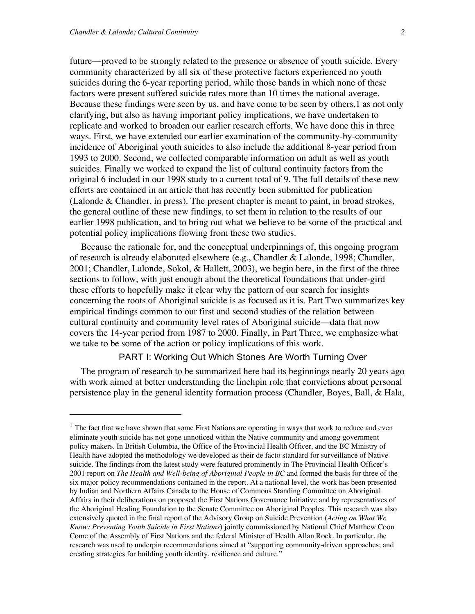$\overline{a}$ 

future––proved to be strongly related to the presence or absence of youth suicide. Every community characterized by all six of these protective factors experienced no youth suicides during the 6-year reporting period, while those bands in which none of these factors were present suffered suicide rates more than 10 times the national average. Because these findings were seen by us, and have come to be seen by others,1 as not only clarifying, but also as having important policy implications, we have undertaken to replicate and worked to broaden our earlier research efforts. We have done this in three ways. First, we have extended our earlier examination of the community-by-community incidence of Aboriginal youth suicides to also include the additional 8-year period from 1993 to 2000. Second, we collected comparable information on adult as well as youth suicides. Finally we worked to expand the list of cultural continuity factors from the original 6 included in our 1998 study to a current total of 9. The full details of these new efforts are contained in an article that has recently been submitted for publication (Lalonde & Chandler, in press). The present chapter is meant to paint, in broad strokes, the general outline of these new findings, to set them in relation to the results of our earlier 1998 publication, and to bring out what we believe to be some of the practical and potential policy implications flowing from these two studies.

Because the rationale for, and the conceptual underpinnings of, this ongoing program of research is already elaborated elsewhere (e.g., Chandler & Lalonde, 1998; Chandler, 2001; Chandler, Lalonde, Sokol, & Hallett, 2003), we begin here, in the first of the three sections to follow, with just enough about the theoretical foundations that under-gird these efforts to hopefully make it clear why the pattern of our search for insights concerning the roots of Aboriginal suicide is as focused as it is. Part Two summarizes key empirical findings common to our first and second studies of the relation between cultural continuity and community level rates of Aboriginal suicide––data that now covers the 14-year period from 1987 to 2000. Finally, in Part Three, we emphasize what we take to be some of the action or policy implications of this work.

## PART I: Working Out Which Stones Are Worth Turning Over

The program of research to be summarized here had its beginnings nearly 20 years ago with work aimed at better understanding the linchpin role that convictions about personal persistence play in the general identity formation process (Chandler, Boyes, Ball, & Hala,

 $1$  The fact that we have shown that some First Nations are operating in ways that work to reduce and even eliminate youth suicide has not gone unnoticed within the Native community and among government policy makers. In British Columbia, the Office of the Provincial Health Officer, and the BC Ministry of Health have adopted the methodology we developed as their de facto standard for surveillance of Native suicide. The findings from the latest study were featured prominently in The Provincial Health Officer's 2001 report on *The Health and Well-being of Aboriginal People in BC* and formed the basis for three of the six major policy recommendations contained in the report. At a national level, the work has been presented by Indian and Northern Affairs Canada to the House of Commons Standing Committee on Aboriginal Affairs in their deliberations on proposed the First Nations Governance Initiative and by representatives of the Aboriginal Healing Foundation to the Senate Committee on Aboriginal Peoples. This research was also extensively quoted in the final report of the Advisory Group on Suicide Prevention (*Acting on What We Know: Preventing Youth Suicide in First Nations*) jointly commissioned by National Chief Matthew Coon Come of the Assembly of First Nations and the federal Minister of Health Allan Rock. In particular, the research was used to underpin recommendations aimed at "supporting community-driven approaches; and creating strategies for building youth identity, resilience and culture."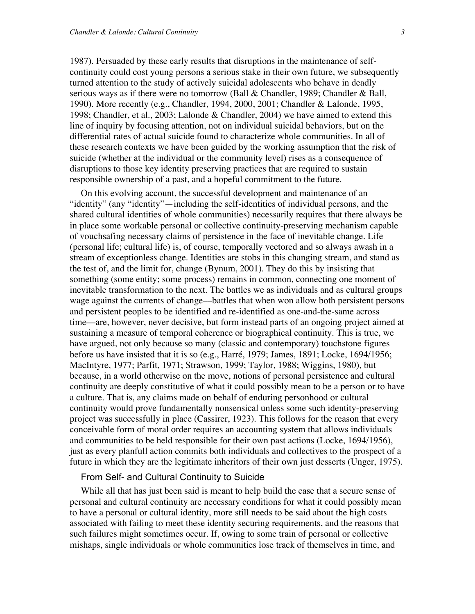1987). Persuaded by these early results that disruptions in the maintenance of selfcontinuity could cost young persons a serious stake in their own future, we subsequently turned attention to the study of actively suicidal adolescents who behave in deadly serious ways as if there were no tomorrow (Ball & Chandler, 1989; Chandler & Ball, 1990). More recently (e.g., Chandler, 1994, 2000, 2001; Chandler & Lalonde, 1995, 1998; Chandler, et al., 2003; Lalonde & Chandler, 2004) we have aimed to extend this line of inquiry by focusing attention, not on individual suicidal behaviors, but on the differential rates of actual suicide found to characterize whole communities. In all of these research contexts we have been guided by the working assumption that the risk of suicide (whether at the individual or the community level) rises as a consequence of disruptions to those key identity preserving practices that are required to sustain responsible ownership of a past, and a hopeful commitment to the future.

On this evolving account, the successful development and maintenance of an "identity" (any "identity"—including the self-identities of individual persons, and the shared cultural identities of whole communities) necessarily requires that there always be in place some workable personal or collective continuity-preserving mechanism capable of vouchsafing necessary claims of persistence in the face of inevitable change. Life (personal life; cultural life) is, of course, temporally vectored and so always awash in a stream of exceptionless change. Identities are stobs in this changing stream, and stand as the test of, and the limit for, change (Bynum, 2001). They do this by insisting that something (some entity; some process) remains in common, connecting one moment of inevitable transformation to the next. The battles we as individuals and as cultural groups wage against the currents of change––battles that when won allow both persistent persons and persistent peoples to be identified and re-identified as one-and-the-same across time––are, however, never decisive, but form instead parts of an ongoing project aimed at sustaining a measure of temporal coherence or biographical continuity. This is true, we have argued, not only because so many (classic and contemporary) touchstone figures before us have insisted that it is so (e.g., Harré, 1979; James, 1891; Locke, 1694/1956; MacIntyre, 1977; Parfit, 1971; Strawson, 1999; Taylor, 1988; Wiggins, 1980), but because, in a world otherwise on the move, notions of personal persistence and cultural continuity are deeply constitutive of what it could possibly mean to be a person or to have a culture. That is, any claims made on behalf of enduring personhood or cultural continuity would prove fundamentally nonsensical unless some such identity-preserving project was successfully in place (Cassirer, 1923). This follows for the reason that every conceivable form of moral order requires an accounting system that allows individuals and communities to be held responsible for their own past actions (Locke, 1694/1956), just as every planfull action commits both individuals and collectives to the prospect of a future in which they are the legitimate inheritors of their own just desserts (Unger, 1975).

#### From Self- and Cultural Continuity to Suicide

While all that has just been said is meant to help build the case that a secure sense of personal and cultural continuity are necessary conditions for what it could possibly mean to have a personal or cultural identity, more still needs to be said about the high costs associated with failing to meet these identity securing requirements, and the reasons that such failures might sometimes occur. If, owing to some train of personal or collective mishaps, single individuals or whole communities lose track of themselves in time, and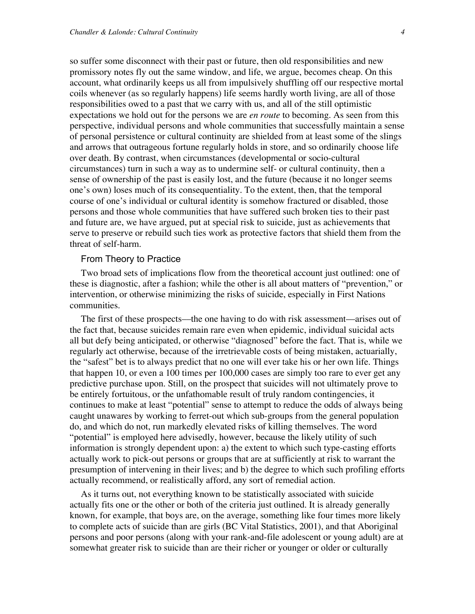so suffer some disconnect with their past or future, then old responsibilities and new promissory notes fly out the same window, and life, we argue, becomes cheap. On this account, what ordinarily keeps us all from impulsively shuffling off our respective mortal coils whenever (as so regularly happens) life seems hardly worth living, are all of those responsibilities owed to a past that we carry with us, and all of the still optimistic expectations we hold out for the persons we are *en route* to becoming. As seen from this perspective, individual persons and whole communities that successfully maintain a sense of personal persistence or cultural continuity are shielded from at least some of the slings and arrows that outrageous fortune regularly holds in store, and so ordinarily choose life over death. By contrast, when circumstances (developmental or socio-cultural circumstances) turn in such a way as to undermine self- or cultural continuity, then a sense of ownership of the past is easily lost, and the future (because it no longer seems one's own) loses much of its consequentiality. To the extent, then, that the temporal course of one's individual or cultural identity is somehow fractured or disabled, those persons and those whole communities that have suffered such broken ties to their past and future are, we have argued, put at special risk to suicide, just as achievements that serve to preserve or rebuild such ties work as protective factors that shield them from the threat of self-harm.

#### From Theory to Practice

Two broad sets of implications flow from the theoretical account just outlined: one of these is diagnostic, after a fashion; while the other is all about matters of "prevention," or intervention, or otherwise minimizing the risks of suicide, especially in First Nations communities.

The first of these prospects—the one having to do with risk assessment—arises out of the fact that, because suicides remain rare even when epidemic, individual suicidal acts all but defy being anticipated, or otherwise "diagnosed" before the fact. That is, while we regularly act otherwise, because of the irretrievable costs of being mistaken, actuarially, the "safest" bet is to always predict that no one will ever take his or her own life. Things that happen 10, or even a 100 times per 100,000 cases are simply too rare to ever get any predictive purchase upon. Still, on the prospect that suicides will not ultimately prove to be entirely fortuitous, or the unfathomable result of truly random contingencies, it continues to make at least "potential" sense to attempt to reduce the odds of always being caught unawares by working to ferret-out which sub-groups from the general population do, and which do not, run markedly elevated risks of killing themselves. The word "potential" is employed here advisedly, however, because the likely utility of such information is strongly dependent upon: a) the extent to which such type-casting efforts actually work to pick-out persons or groups that are at sufficiently at risk to warrant the presumption of intervening in their lives; and b) the degree to which such profiling efforts actually recommend, or realistically afford, any sort of remedial action.

As it turns out, not everything known to be statistically associated with suicide actually fits one or the other or both of the criteria just outlined. It is already generally known, for example, that boys are, on the average, something like four times more likely to complete acts of suicide than are girls (BC Vital Statistics, 2001), and that Aboriginal persons and poor persons (along with your rank-and-file adolescent or young adult) are at somewhat greater risk to suicide than are their richer or younger or older or culturally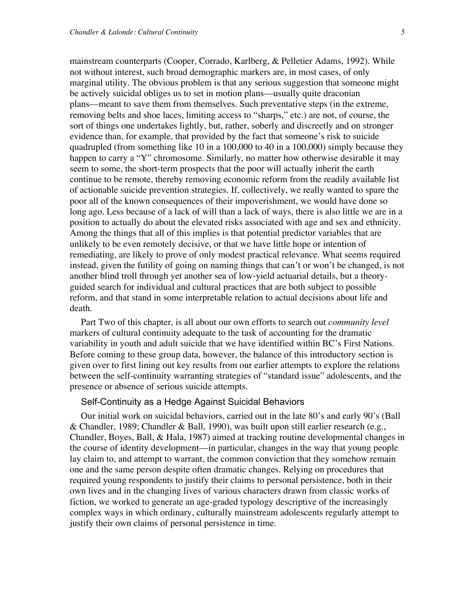mainstream counterparts (Cooper, Corrado, Karlberg, & Pelletier Adams, 1992). While not without interest, such broad demographic markers are, in most cases, of only marginal utility. The obvious problem is that any serious suggestion that someone might be actively suicidal obliges us to set in motion plans––usually quite draconian plans––meant to save them from themselves. Such preventative steps (in the extreme, removing belts and shoe laces, limiting access to "sharps," etc.) are not, of course, the sort of things one undertakes lightly, but, rather, soberly and discreetly and on stronger evidence than, for example, that provided by the fact that someone's risk to suicide quadrupled (from something like 10 in a 100,000 to 40 in a 100,000) simply because they happen to carry a "Y" chromosome. Similarly, no matter how otherwise desirable it may seem to some, the short-term prospects that the poor will actually inherit the earth continue to be remote, thereby removing economic reform from the readily available list of actionable suicide prevention strategies. If, collectively, we really wanted to spare the poor all of the known consequences of their impoverishment, we would have done so long ago. Less because of a lack of will than a lack of ways, there is also little we are in a position to actually do about the elevated risks associated with age and sex and ethnicity. Among the things that all of this implies is that potential predictor variables that are unlikely to be even remotely decisive, or that we have little hope or intention of remediating, are likely to prove of only modest practical relevance. What seems required instead, given the futility of going on naming things that can't or won't be changed, is not another blind troll through yet another sea of low-yield actuarial details, but a theoryguided search for individual and cultural practices that are both subject to possible reform, and that stand in some interpretable relation to actual decisions about life and death.

Part Two of this chapter, is all about our own efforts to search out *community level* markers of cultural continuity adequate to the task of accounting for the dramatic variability in youth and adult suicide that we have identified within BC's First Nations. Before coming to these group data, however, the balance of this introductory section is given over to first lining out key results from our earlier attempts to explore the relations between the self-continuity warranting strategies of "standard issue" adolescents, and the presence or absence of serious suicide attempts.

## Self-Continuity as a Hedge Against Suicidal Behaviors

Our initial work on suicidal behaviors, carried out in the late 80's and early 90's (Ball & Chandler, 1989; Chandler & Ball, 1990), was built upon still earlier research (e.g., Chandler, Boyes, Ball, & Hala, 1987) aimed at tracking routine developmental changes in the course of identity development––in particular, changes in the way that young people lay claim to, and attempt to warrant, the common conviction that they somehow remain one and the same person despite often dramatic changes. Relying on procedures that required young respondents to justify their claims to personal persistence, both in their own lives and in the changing lives of various characters drawn from classic works of fiction, we worked to generate an age-graded typology descriptive of the increasingly complex ways in which ordinary, culturally mainstream adolescents regularly attempt to justify their own claims of personal persistence in time.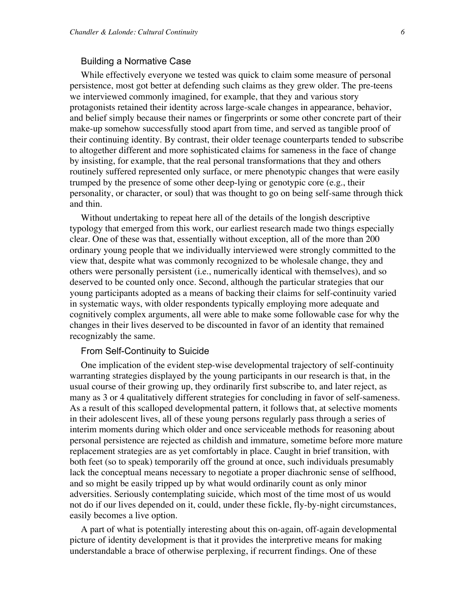## Building a Normative Case

While effectively everyone we tested was quick to claim some measure of personal persistence, most got better at defending such claims as they grew older. The pre-teens we interviewed commonly imagined, for example, that they and various story protagonists retained their identity across large-scale changes in appearance, behavior, and belief simply because their names or fingerprints or some other concrete part of their make-up somehow successfully stood apart from time, and served as tangible proof of their continuing identity. By contrast, their older teenage counterparts tended to subscribe to altogether different and more sophisticated claims for sameness in the face of change by insisting, for example, that the real personal transformations that they and others routinely suffered represented only surface, or mere phenotypic changes that were easily trumped by the presence of some other deep-lying or genotypic core (e.g., their personality, or character, or soul) that was thought to go on being self-same through thick and thin.

Without undertaking to repeat here all of the details of the longish descriptive typology that emerged from this work, our earliest research made two things especially clear. One of these was that, essentially without exception, all of the more than 200 ordinary young people that we individually interviewed were strongly committed to the view that, despite what was commonly recognized to be wholesale change, they and others were personally persistent (i.e., numerically identical with themselves), and so deserved to be counted only once. Second, although the particular strategies that our young participants adopted as a means of backing their claims for self-continuity varied in systematic ways, with older respondents typically employing more adequate and cognitively complex arguments, all were able to make some followable case for why the changes in their lives deserved to be discounted in favor of an identity that remained recognizably the same.

#### From Self-Continuity to Suicide

One implication of the evident step-wise developmental trajectory of self-continuity warranting strategies displayed by the young participants in our research is that, in the usual course of their growing up, they ordinarily first subscribe to, and later reject, as many as 3 or 4 qualitatively different strategies for concluding in favor of self-sameness. As a result of this scalloped developmental pattern, it follows that, at selective moments in their adolescent lives, all of these young persons regularly pass through a series of interim moments during which older and once serviceable methods for reasoning about personal persistence are rejected as childish and immature, sometime before more mature replacement strategies are as yet comfortably in place. Caught in brief transition, with both feet (so to speak) temporarily off the ground at once, such individuals presumably lack the conceptual means necessary to negotiate a proper diachronic sense of selfhood, and so might be easily tripped up by what would ordinarily count as only minor adversities. Seriously contemplating suicide, which most of the time most of us would not do if our lives depended on it, could, under these fickle, fly-by-night circumstances, easily becomes a live option.

A part of what is potentially interesting about this on-again, off-again developmental picture of identity development is that it provides the interpretive means for making understandable a brace of otherwise perplexing, if recurrent findings. One of these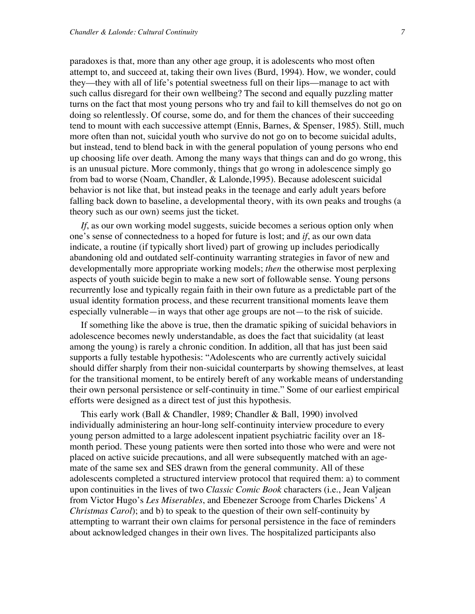paradoxes is that, more than any other age group, it is adolescents who most often attempt to, and succeed at, taking their own lives (Burd, 1994). How, we wonder, could they––they with all of life's potential sweetness full on their lips––manage to act with such callus disregard for their own wellbeing? The second and equally puzzling matter turns on the fact that most young persons who try and fail to kill themselves do not go on doing so relentlessly. Of course, some do, and for them the chances of their succeeding tend to mount with each successive attempt (Ennis, Barnes, & Spenser, 1985). Still, much more often than not, suicidal youth who survive do not go on to become suicidal adults, but instead, tend to blend back in with the general population of young persons who end up choosing life over death. Among the many ways that things can and do go wrong, this is an unusual picture. More commonly, things that go wrong in adolescence simply go from bad to worse (Noam, Chandler, & Lalonde,1995). Because adolescent suicidal behavior is not like that, but instead peaks in the teenage and early adult years before falling back down to baseline, a developmental theory, with its own peaks and troughs (a theory such as our own) seems just the ticket.

*If*, as our own working model suggests, suicide becomes a serious option only when one's sense of connectedness to a hoped for future is lost; and *if*, as our own data indicate, a routine (if typically short lived) part of growing up includes periodically abandoning old and outdated self-continuity warranting strategies in favor of new and developmentally more appropriate working models; *then* the otherwise most perplexing aspects of youth suicide begin to make a new sort of followable sense. Young persons recurrently lose and typically regain faith in their own future as a predictable part of the usual identity formation process, and these recurrent transitional moments leave them especially vulnerable—in ways that other age groups are not—to the risk of suicide.

If something like the above is true, then the dramatic spiking of suicidal behaviors in adolescence becomes newly understandable, as does the fact that suicidality (at least among the young) is rarely a chronic condition. In addition, all that has just been said supports a fully testable hypothesis: "Adolescents who are currently actively suicidal should differ sharply from their non-suicidal counterparts by showing themselves, at least for the transitional moment, to be entirely bereft of any workable means of understanding their own personal persistence or self-continuity in time." Some of our earliest empirical efforts were designed as a direct test of just this hypothesis.

This early work (Ball & Chandler, 1989; Chandler & Ball, 1990) involved individually administering an hour-long self-continuity interview procedure to every young person admitted to a large adolescent inpatient psychiatric facility over an 18 month period. These young patients were then sorted into those who were and were not placed on active suicide precautions, and all were subsequently matched with an agemate of the same sex and SES drawn from the general community. All of these adolescents completed a structured interview protocol that required them: a) to comment upon continuities in the lives of two *Classic Comic Book* characters (i.e., Jean Valjean from Victor Hugo's *Les Miserables*, and Ebenezer Scrooge from Charles Dickens' *A Christmas Carol*); and b) to speak to the question of their own self-continuity by attempting to warrant their own claims for personal persistence in the face of reminders about acknowledged changes in their own lives. The hospitalized participants also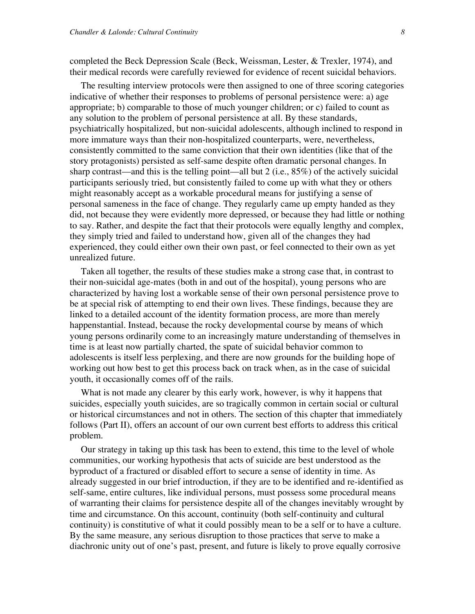completed the Beck Depression Scale (Beck, Weissman, Lester, & Trexler, 1974), and their medical records were carefully reviewed for evidence of recent suicidal behaviors.

The resulting interview protocols were then assigned to one of three scoring categories indicative of whether their responses to problems of personal persistence were: a) age appropriate; b) comparable to those of much younger children; or c) failed to count as any solution to the problem of personal persistence at all. By these standards, psychiatrically hospitalized, but non-suicidal adolescents, although inclined to respond in more immature ways than their non-hospitalized counterparts, were, nevertheless, consistently committed to the same conviction that their own identities (like that of the story protagonists) persisted as self-same despite often dramatic personal changes. In sharp contrast—and this is the telling point—all but  $2$  (i.e.,  $85\%$ ) of the actively suicidal participants seriously tried, but consistently failed to come up with what they or others might reasonably accept as a workable procedural means for justifying a sense of personal sameness in the face of change. They regularly came up empty handed as they did, not because they were evidently more depressed, or because they had little or nothing to say. Rather, and despite the fact that their protocols were equally lengthy and complex, they simply tried and failed to understand how, given all of the changes they had experienced, they could either own their own past, or feel connected to their own as yet unrealized future.

Taken all together, the results of these studies make a strong case that, in contrast to their non-suicidal age-mates (both in and out of the hospital), young persons who are characterized by having lost a workable sense of their own personal persistence prove to be at special risk of attempting to end their own lives. These findings, because they are linked to a detailed account of the identity formation process, are more than merely happenstantial. Instead, because the rocky developmental course by means of which young persons ordinarily come to an increasingly mature understanding of themselves in time is at least now partially charted, the spate of suicidal behavior common to adolescents is itself less perplexing, and there are now grounds for the building hope of working out how best to get this process back on track when, as in the case of suicidal youth, it occasionally comes off of the rails.

What is not made any clearer by this early work, however, is why it happens that suicides, especially youth suicides, are so tragically common in certain social or cultural or historical circumstances and not in others. The section of this chapter that immediately follows (Part II), offers an account of our own current best efforts to address this critical problem.

Our strategy in taking up this task has been to extend, this time to the level of whole communities, our working hypothesis that acts of suicide are best understood as the byproduct of a fractured or disabled effort to secure a sense of identity in time. As already suggested in our brief introduction, if they are to be identified and re-identified as self-same, entire cultures, like individual persons, must possess some procedural means of warranting their claims for persistence despite all of the changes inevitably wrought by time and circumstance. On this account, continuity (both self-continuity and cultural continuity) is constitutive of what it could possibly mean to be a self or to have a culture. By the same measure, any serious disruption to those practices that serve to make a diachronic unity out of one's past, present, and future is likely to prove equally corrosive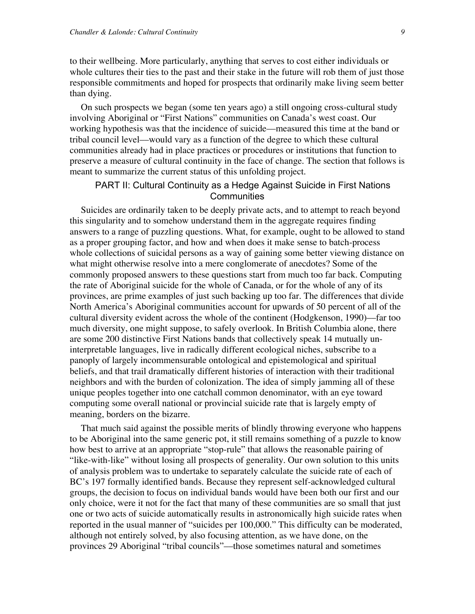to their wellbeing. More particularly, anything that serves to cost either individuals or whole cultures their ties to the past and their stake in the future will rob them of just those responsible commitments and hoped for prospects that ordinarily make living seem better than dying.

On such prospects we began (some ten years ago) a still ongoing cross-cultural study involving Aboriginal or "First Nations" communities on Canada's west coast. Our working hypothesis was that the incidence of suicide––measured this time at the band or tribal council level––would vary as a function of the degree to which these cultural communities already had in place practices or procedures or institutions that function to preserve a measure of cultural continuity in the face of change. The section that follows is meant to summarize the current status of this unfolding project.

# PART II: Cultural Continuity as a Hedge Against Suicide in First Nations **Communities**

Suicides are ordinarily taken to be deeply private acts, and to attempt to reach beyond this singularity and to somehow understand them in the aggregate requires finding answers to a range of puzzling questions. What, for example, ought to be allowed to stand as a proper grouping factor, and how and when does it make sense to batch-process whole collections of suicidal persons as a way of gaining some better viewing distance on what might otherwise resolve into a mere conglomerate of anecdotes? Some of the commonly proposed answers to these questions start from much too far back. Computing the rate of Aboriginal suicide for the whole of Canada, or for the whole of any of its provinces, are prime examples of just such backing up too far. The differences that divide North America's Aboriginal communities account for upwards of 50 percent of all of the cultural diversity evident across the whole of the continent (Hodgkenson, 1990)––far too much diversity, one might suppose, to safely overlook. In British Columbia alone, there are some 200 distinctive First Nations bands that collectively speak 14 mutually uninterpretable languages, live in radically different ecological niches, subscribe to a panoply of largely incommensurable ontological and epistemological and spiritual beliefs, and that trail dramatically different histories of interaction with their traditional neighbors and with the burden of colonization. The idea of simply jamming all of these unique peoples together into one catchall common denominator, with an eye toward computing some overall national or provincial suicide rate that is largely empty of meaning, borders on the bizarre.

That much said against the possible merits of blindly throwing everyone who happens to be Aboriginal into the same generic pot, it still remains something of a puzzle to know how best to arrive at an appropriate "stop-rule" that allows the reasonable pairing of "like-with-like" without losing all prospects of generality. Our own solution to this units of analysis problem was to undertake to separately calculate the suicide rate of each of BC's 197 formally identified bands. Because they represent self-acknowledged cultural groups, the decision to focus on individual bands would have been both our first and our only choice, were it not for the fact that many of these communities are so small that just one or two acts of suicide automatically results in astronomically high suicide rates when reported in the usual manner of "suicides per 100,000." This difficulty can be moderated, although not entirely solved, by also focusing attention, as we have done, on the provinces 29 Aboriginal "tribal councils"––those sometimes natural and sometimes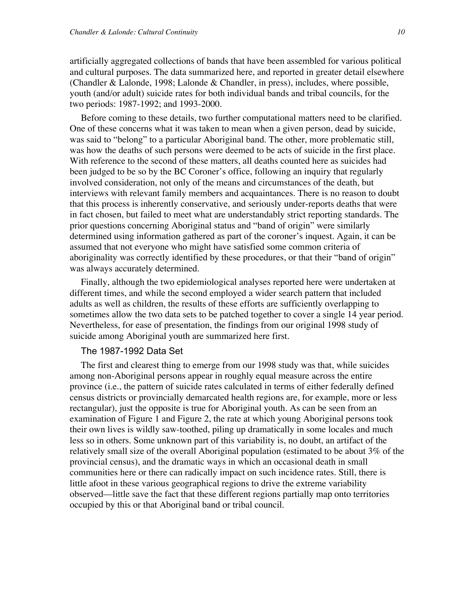artificially aggregated collections of bands that have been assembled for various political and cultural purposes. The data summarized here, and reported in greater detail elsewhere (Chandler & Lalonde, 1998; Lalonde & Chandler, in press), includes, where possible, youth (and/or adult) suicide rates for both individual bands and tribal councils, for the two periods: 1987-1992; and 1993-2000.

Before coming to these details, two further computational matters need to be clarified. One of these concerns what it was taken to mean when a given person, dead by suicide, was said to "belong" to a particular Aboriginal band. The other, more problematic still, was how the deaths of such persons were deemed to be acts of suicide in the first place. With reference to the second of these matters, all deaths counted here as suicides had been judged to be so by the BC Coroner's office, following an inquiry that regularly involved consideration, not only of the means and circumstances of the death, but interviews with relevant family members and acquaintances. There is no reason to doubt that this process is inherently conservative, and seriously under-reports deaths that were in fact chosen, but failed to meet what are understandably strict reporting standards. The prior questions concerning Aboriginal status and "band of origin" were similarly determined using information gathered as part of the coroner's inquest. Again, it can be assumed that not everyone who might have satisfied some common criteria of aboriginality was correctly identified by these procedures, or that their "band of origin" was always accurately determined.

Finally, although the two epidemiological analyses reported here were undertaken at different times, and while the second employed a wider search pattern that included adults as well as children, the results of these efforts are sufficiently overlapping to sometimes allow the two data sets to be patched together to cover a single 14 year period. Nevertheless, for ease of presentation, the findings from our original 1998 study of suicide among Aboriginal youth are summarized here first.

#### The 1987-1992 Data Set

The first and clearest thing to emerge from our 1998 study was that, while suicides among non-Aboriginal persons appear in roughly equal measure across the entire province (i.e., the pattern of suicide rates calculated in terms of either federally defined census districts or provincially demarcated health regions are, for example, more or less rectangular), just the opposite is true for Aboriginal youth. As can be seen from an examination of Figure 1 and Figure 2, the rate at which young Aboriginal persons took their own lives is wildly saw-toothed, piling up dramatically in some locales and much less so in others. Some unknown part of this variability is, no doubt, an artifact of the relatively small size of the overall Aboriginal population (estimated to be about 3% of the provincial census), and the dramatic ways in which an occasional death in small communities here or there can radically impact on such incidence rates. Still, there is little afoot in these various geographical regions to drive the extreme variability observed––little save the fact that these different regions partially map onto territories occupied by this or that Aboriginal band or tribal council.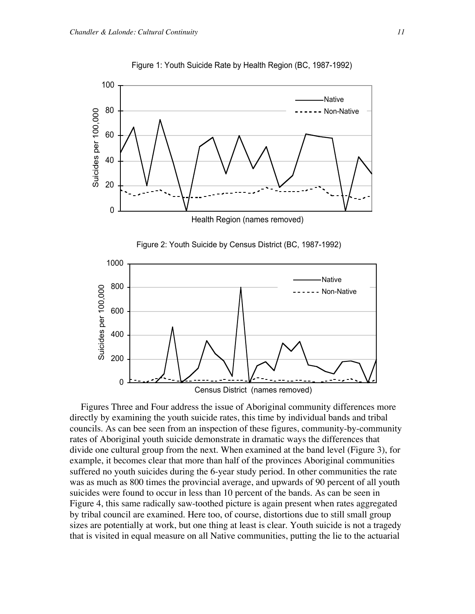

Figure 1: Youth Suicide Rate by Health Region (BC, 1987-1992)





Figures Three and Four address the issue of Aboriginal community differences more directly by examining the youth suicide rates, this time by individual bands and tribal councils. As can bee seen from an inspection of these figures, community-by-community rates of Aboriginal youth suicide demonstrate in dramatic ways the differences that divide one cultural group from the next. When examined at the band level (Figure 3), for example, it becomes clear that more than half of the provinces Aboriginal communities suffered no youth suicides during the 6-year study period. In other communities the rate was as much as 800 times the provincial average, and upwards of 90 percent of all youth suicides were found to occur in less than 10 percent of the bands. As can be seen in Figure 4, this same radically saw-toothed picture is again present when rates aggregated by tribal council are examined. Here too, of course, distortions due to still small group sizes are potentially at work, but one thing at least is clear. Youth suicide is not a tragedy that is visited in equal measure on all Native communities, putting the lie to the actuarial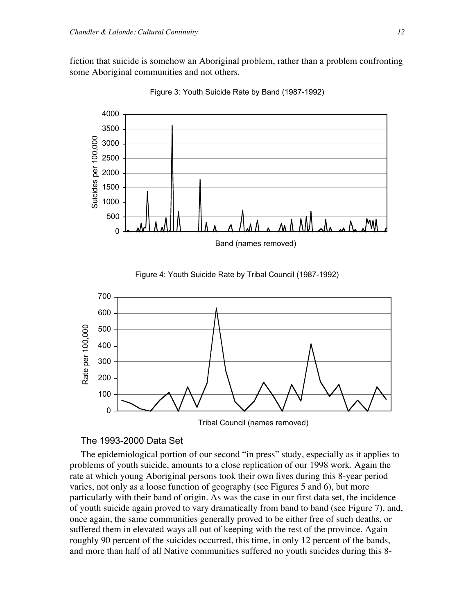fiction that suicide is somehow an Aboriginal problem, rather than a problem confronting some Aboriginal communities and not others.





Figure 4: Youth Suicide Rate by Tribal Council (1987-1992)





### The 1993-2000 Data Set

The epidemiological portion of our second "in press" study, especially as it applies to problems of youth suicide, amounts to a close replication of our 1998 work. Again the rate at which young Aboriginal persons took their own lives during this 8-year period varies, not only as a loose function of geography (see Figures 5 and 6), but more particularly with their band of origin. As was the case in our first data set, the incidence of youth suicide again proved to vary dramatically from band to band (see Figure 7), and, once again, the same communities generally proved to be either free of such deaths, or suffered them in elevated ways all out of keeping with the rest of the province. Again roughly 90 percent of the suicides occurred, this time, in only 12 percent of the bands, and more than half of all Native communities suffered no youth suicides during this 8-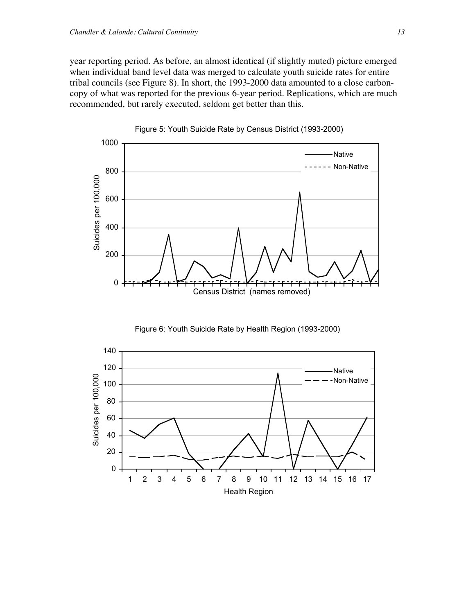year reporting period. As before, an almost identical (if slightly muted) picture emerged when individual band level data was merged to calculate youth suicide rates for entire tribal councils (see Figure 8). In short, the 1993-2000 data amounted to a close carboncopy of what was reported for the previous 6-year period. Replications, which are much recommended, but rarely executed, seldom get better than this.





Figure 6: Youth Suicide Rate by Health Region (1993-2000)

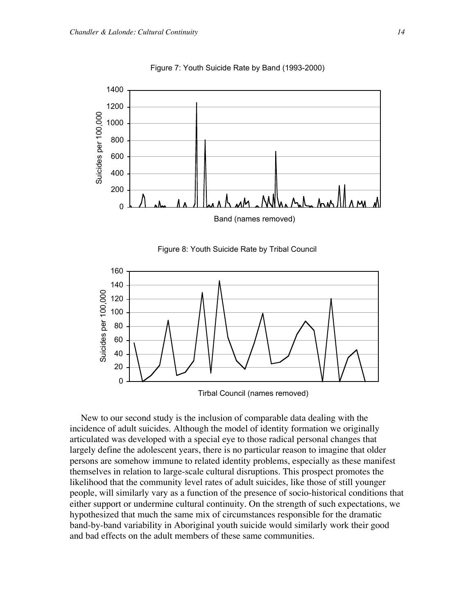

Figure 7: Youth Suicide Rate by Band (1993-2000)





Tirbal Council (names removed)

New to our second study is the inclusion of comparable data dealing with the incidence of adult suicides. Although the model of identity formation we originally articulated was developed with a special eye to those radical personal changes that largely define the adolescent years, there is no particular reason to imagine that older persons are somehow immune to related identity problems, especially as these manifest themselves in relation to large-scale cultural disruptions. This prospect promotes the likelihood that the community level rates of adult suicides, like those of still younger people, will similarly vary as a function of the presence of socio-historical conditions that either support or undermine cultural continuity. On the strength of such expectations, we hypothesized that much the same mix of circumstances responsible for the dramatic band-by-band variability in Aboriginal youth suicide would similarly work their good and bad effects on the adult members of these same communities.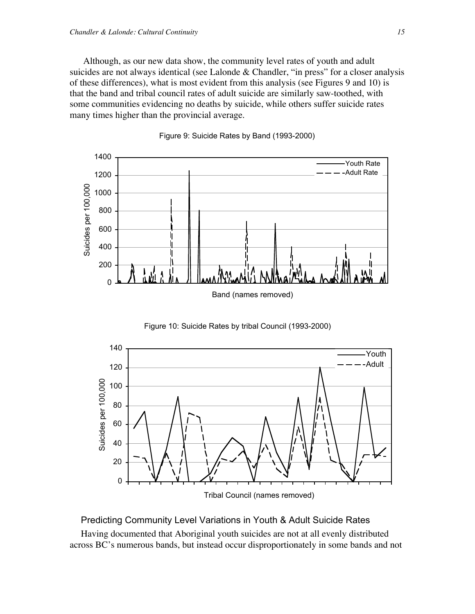Although, as our new data show, the community level rates of youth and adult suicides are not always identical (see Lalonde & Chandler, "in press" for a closer analysis of these differences), what is most evident from this analysis (see Figures 9 and 10) is that the band and tribal council rates of adult suicide are similarly saw-toothed, with some communities evidencing no deaths by suicide, while others suffer suicide rates many times higher than the provincial average.







Figure 10: Suicide Rates by tribal Council (1993-2000)

Tribal Council (names removed)

Predicting Community Level Variations in Youth & Adult Suicide Rates

Having documented that Aboriginal youth suicides are not at all evenly distributed across BC's numerous bands, but instead occur disproportionately in some bands and not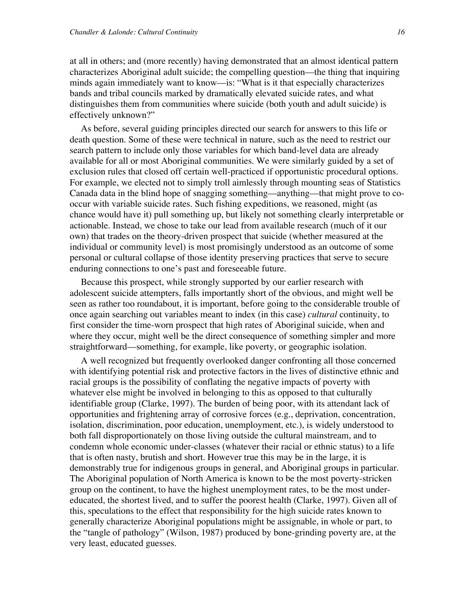at all in others; and (more recently) having demonstrated that an almost identical pattern characterizes Aboriginal adult suicide; the compelling question––the thing that inquiring minds again immediately want to know––is: "What is it that especially characterizes bands and tribal councils marked by dramatically elevated suicide rates, and what distinguishes them from communities where suicide (both youth and adult suicide) is effectively unknown?"

As before, several guiding principles directed our search for answers to this life or death question. Some of these were technical in nature, such as the need to restrict our search pattern to include only those variables for which band-level data are already available for all or most Aboriginal communities. We were similarly guided by a set of exclusion rules that closed off certain well-practiced if opportunistic procedural options. For example, we elected not to simply troll aimlessly through mounting seas of Statistics Canada data in the blind hope of snagging something––anything––that might prove to cooccur with variable suicide rates. Such fishing expeditions, we reasoned, might (as chance would have it) pull something up, but likely not something clearly interpretable or actionable. Instead, we chose to take our lead from available research (much of it our own) that trades on the theory-driven prospect that suicide (whether measured at the individual or community level) is most promisingly understood as an outcome of some personal or cultural collapse of those identity preserving practices that serve to secure enduring connections to one's past and foreseeable future.

Because this prospect, while strongly supported by our earlier research with adolescent suicide attempters, falls importantly short of the obvious, and might well be seen as rather too roundabout, it is important, before going to the considerable trouble of once again searching out variables meant to index (in this case) *cultural* continuity, to first consider the time-worn prospect that high rates of Aboriginal suicide, when and where they occur, might well be the direct consequence of something simpler and more straightforward––something, for example, like poverty, or geographic isolation.

A well recognized but frequently overlooked danger confronting all those concerned with identifying potential risk and protective factors in the lives of distinctive ethnic and racial groups is the possibility of conflating the negative impacts of poverty with whatever else might be involved in belonging to this as opposed to that culturally identifiable group (Clarke, 1997). The burden of being poor, with its attendant lack of opportunities and frightening array of corrosive forces (e.g., deprivation, concentration, isolation, discrimination, poor education, unemployment, etc.), is widely understood to both fall disproportionately on those living outside the cultural mainstream, and to condemn whole economic under-classes (whatever their racial or ethnic status) to a life that is often nasty, brutish and short. However true this may be in the large, it is demonstrably true for indigenous groups in general, and Aboriginal groups in particular. The Aboriginal population of North America is known to be the most poverty-stricken group on the continent, to have the highest unemployment rates, to be the most undereducated, the shortest lived, and to suffer the poorest health (Clarke, 1997). Given all of this, speculations to the effect that responsibility for the high suicide rates known to generally characterize Aboriginal populations might be assignable, in whole or part, to the "tangle of pathology" (Wilson, 1987) produced by bone-grinding poverty are, at the very least, educated guesses.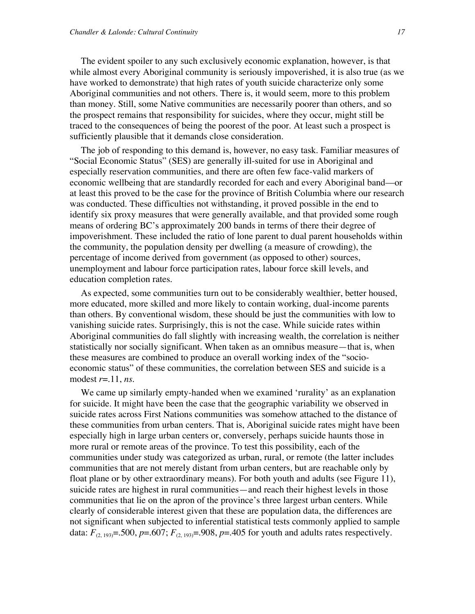The evident spoiler to any such exclusively economic explanation, however, is that while almost every Aboriginal community is seriously impoverished, it is also true (as we have worked to demonstrate) that high rates of youth suicide characterize only some Aboriginal communities and not others. There is, it would seem, more to this problem than money. Still, some Native communities are necessarily poorer than others, and so the prospect remains that responsibility for suicides, where they occur, might still be traced to the consequences of being the poorest of the poor. At least such a prospect is sufficiently plausible that it demands close consideration.

The job of responding to this demand is, however, no easy task. Familiar measures of "Social Economic Status" (SES) are generally ill-suited for use in Aboriginal and especially reservation communities, and there are often few face-valid markers of economic wellbeing that are standardly recorded for each and every Aboriginal band––or at least this proved to be the case for the province of British Columbia where our research was conducted. These difficulties not withstanding, it proved possible in the end to identify six proxy measures that were generally available, and that provided some rough means of ordering BC's approximately 200 bands in terms of there their degree of impoverishment. These included the ratio of lone parent to dual parent households within the community, the population density per dwelling (a measure of crowding), the percentage of income derived from government (as opposed to other) sources, unemployment and labour force participation rates, labour force skill levels, and education completion rates.

As expected, some communities turn out to be considerably wealthier, better housed, more educated, more skilled and more likely to contain working, dual-income parents than others. By conventional wisdom, these should be just the communities with low to vanishing suicide rates. Surprisingly, this is not the case. While suicide rates within Aboriginal communities do fall slightly with increasing wealth, the correlation is neither statistically nor socially significant. When taken as an omnibus measure—that is, when these measures are combined to produce an overall working index of the "socioeconomic status" of these communities, the correlation between SES and suicide is a modest *r*=.11, *ns*.

We came up similarly empty-handed when we examined 'rurality' as an explanation for suicide. It might have been the case that the geographic variability we observed in suicide rates across First Nations communities was somehow attached to the distance of these communities from urban centers. That is, Aboriginal suicide rates might have been especially high in large urban centers or, conversely, perhaps suicide haunts those in more rural or remote areas of the province. To test this possibility, each of the communities under study was categorized as urban, rural, or remote (the latter includes communities that are not merely distant from urban centers, but are reachable only by float plane or by other extraordinary means). For both youth and adults (see Figure 11), suicide rates are highest in rural communities—and reach their highest levels in those communities that lie on the apron of the province's three largest urban centers. While clearly of considerable interest given that these are population data, the differences are not significant when subjected to inferential statistical tests commonly applied to sample data:  $F_{(2, 193)} = .500$ ,  $p = .607$ ;  $F_{(2, 193)} = .908$ ,  $p = .405$  for youth and adults rates respectively.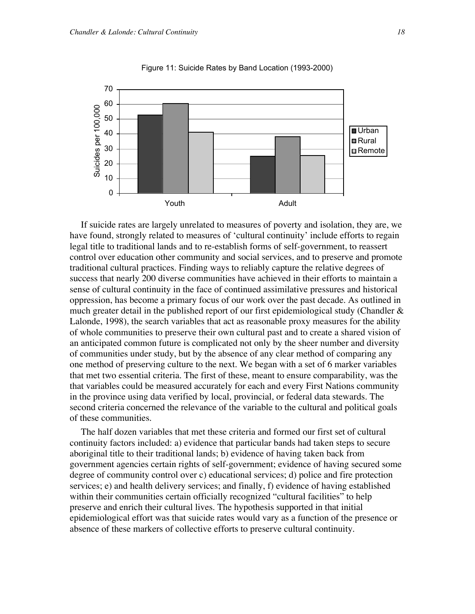

Figure 11: Suicide Rates by Band Location (1993-2000)

If suicide rates are largely unrelated to measures of poverty and isolation, they are, we have found, strongly related to measures of 'cultural continuity' include efforts to regain legal title to traditional lands and to re-establish forms of self-government, to reassert control over education other community and social services, and to preserve and promote traditional cultural practices. Finding ways to reliably capture the relative degrees of success that nearly 200 diverse communities have achieved in their efforts to maintain a sense of cultural continuity in the face of continued assimilative pressures and historical oppression, has become a primary focus of our work over the past decade. As outlined in much greater detail in the published report of our first epidemiological study (Chandler  $\&$ Lalonde, 1998), the search variables that act as reasonable proxy measures for the ability of whole communities to preserve their own cultural past and to create a shared vision of an anticipated common future is complicated not only by the sheer number and diversity of communities under study, but by the absence of any clear method of comparing any one method of preserving culture to the next. We began with a set of 6 marker variables that met two essential criteria. The first of these, meant to ensure comparability, was the that variables could be measured accurately for each and every First Nations community in the province using data verified by local, provincial, or federal data stewards. The second criteria concerned the relevance of the variable to the cultural and political goals of these communities.

The half dozen variables that met these criteria and formed our first set of cultural continuity factors included: a) evidence that particular bands had taken steps to secure aboriginal title to their traditional lands; b) evidence of having taken back from government agencies certain rights of self-government; evidence of having secured some degree of community control over c) educational services; d) police and fire protection services; e) and health delivery services; and finally, f) evidence of having established within their communities certain officially recognized "cultural facilities" to help preserve and enrich their cultural lives. The hypothesis supported in that initial epidemiological effort was that suicide rates would vary as a function of the presence or absence of these markers of collective efforts to preserve cultural continuity.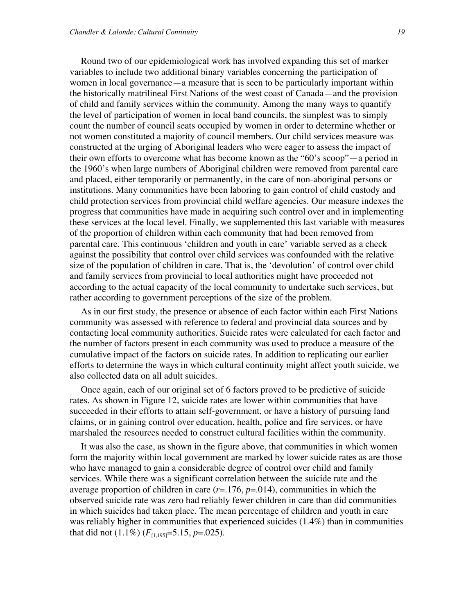Round two of our epidemiological work has involved expanding this set of marker variables to include two additional binary variables concerning the participation of women in local governance—a measure that is seen to be particularly important within the historically matrilineal First Nations of the west coast of Canada—and the provision of child and family services within the community. Among the many ways to quantify the level of participation of women in local band councils, the simplest was to simply count the number of council seats occupied by women in order to determine whether or not women constituted a majority of council members. Our child services measure was constructed at the urging of Aboriginal leaders who were eager to assess the impact of their own efforts to overcome what has become known as the "60's scoop"—a period in the 1960's when large numbers of Aboriginal children were removed from parental care and placed, either temporarily or permanently, in the care of non-aboriginal persons or institutions. Many communities have been laboring to gain control of child custody and child protection services from provincial child welfare agencies. Our measure indexes the progress that communities have made in acquiring such control over and in implementing these services at the local level. Finally, we supplemented this last variable with measures of the proportion of children within each community that had been removed from parental care. This continuous 'children and youth in care' variable served as a check against the possibility that control over child services was confounded with the relative size of the population of children in care. That is, the 'devolution' of control over child and family services from provincial to local authorities might have proceeded not according to the actual capacity of the local community to undertake such services, but rather according to government perceptions of the size of the problem.

As in our first study, the presence or absence of each factor within each First Nations community was assessed with reference to federal and provincial data sources and by contacting local community authorities. Suicide rates were calculated for each factor and the number of factors present in each community was used to produce a measure of the cumulative impact of the factors on suicide rates. In addition to replicating our earlier efforts to determine the ways in which cultural continuity might affect youth suicide, we also collected data on all adult suicides.

Once again, each of our original set of 6 factors proved to be predictive of suicide rates. As shown in Figure 12, suicide rates are lower within communities that have succeeded in their efforts to attain self-government, or have a history of pursuing land claims, or in gaining control over education, health, police and fire services, or have marshaled the resources needed to construct cultural facilities within the community.

It was also the case, as shown in the figure above, that communities in which women form the majority within local government are marked by lower suicide rates as are those who have managed to gain a considerable degree of control over child and family services. While there was a significant correlation between the suicide rate and the average proportion of children in care  $(r=176, p=014)$ , communities in which the observed suicide rate was zero had reliably fewer children in care than did communities in which suicides had taken place. The mean percentage of children and youth in care was reliably higher in communities that experienced suicides (1.4%) than in communities that did not  $(1.1\%)$   $(F_{[1,195]}=5.15, p=.025)$ .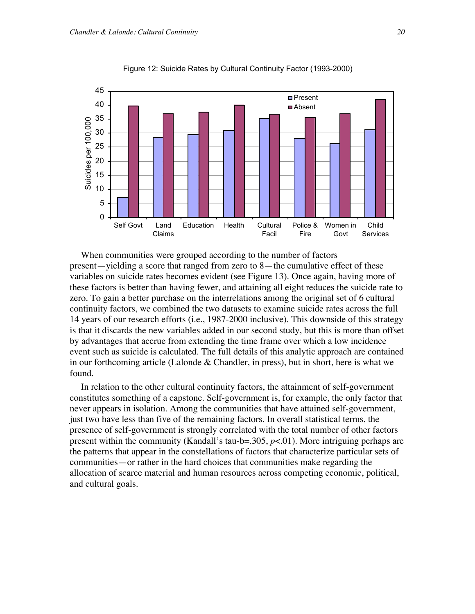

Figure 12: Suicide Rates by Cultural Continuity Factor (1993-2000)

When communities were grouped according to the number of factors present—yielding a score that ranged from zero to 8—the cumulative effect of these variables on suicide rates becomes evident (see Figure 13). Once again, having more of these factors is better than having fewer, and attaining all eight reduces the suicide rate to zero. To gain a better purchase on the interrelations among the original set of 6 cultural continuity factors, we combined the two datasets to examine suicide rates across the full 14 years of our research efforts (i.e., 1987-2000 inclusive). This downside of this strategy is that it discards the new variables added in our second study, but this is more than offset by advantages that accrue from extending the time frame over which a low incidence event such as suicide is calculated. The full details of this analytic approach are contained in our forthcoming article (Lalonde & Chandler, in press), but in short, here is what we found.

In relation to the other cultural continuity factors, the attainment of self-government constitutes something of a capstone. Self-government is, for example, the only factor that never appears in isolation. Among the communities that have attained self-government, just two have less than five of the remaining factors. In overall statistical terms, the presence of self-government is strongly correlated with the total number of other factors present within the community (Kandall's tau-b= $.305, p<.01$ ). More intriguing perhaps are the patterns that appear in the constellations of factors that characterize particular sets of communities—or rather in the hard choices that communities make regarding the allocation of scarce material and human resources across competing economic, political, and cultural goals.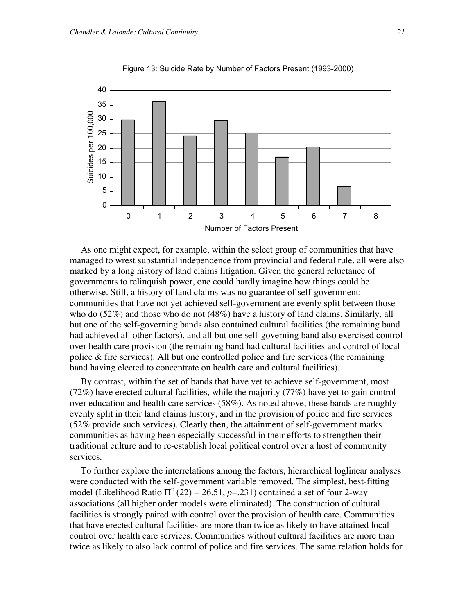

Figure 13: Suicide Rate by Number of Factors Present (1993-2000)

As one might expect, for example, within the select group of communities that have managed to wrest substantial independence from provincial and federal rule, all were also marked by a long history of land claims litigation. Given the general reluctance of governments to relinquish power, one could hardly imagine how things could be otherwise. Still, a history of land claims was no guarantee of self-government: communities that have not yet achieved self-government are evenly split between those who do (52%) and those who do not (48%) have a history of land claims. Similarly, all but one of the self-governing bands also contained cultural facilities (the remaining band had achieved all other factors), and all but one self-governing band also exercised control over health care provision (the remaining band had cultural facilities and control of local police & fire services). All but one controlled police and fire services (the remaining band having elected to concentrate on health care and cultural facilities).

By contrast, within the set of bands that have yet to achieve self-government, most  $(72%)$  have erected cultural facilities, while the majority  $(77%)$  have yet to gain control over education and health care services (58%). As noted above, these bands are roughly evenly split in their land claims history, and in the provision of police and fire services (52% provide such services). Clearly then, the attainment of self-government marks communities as having been especially successful in their efforts to strengthen their traditional culture and to re-establish local political control over a host of community services.

To further explore the interrelations among the factors, hierarchical loglinear analyses were conducted with the self-government variable removed. The simplest, best-fitting model (Likelihood Ratio  $\Pi^2$  (22) = 26.51, *p*=.231) contained a set of four 2-way associations (all higher order models were eliminated). The construction of cultural facilities is strongly paired with control over the provision of health care. Communities that have erected cultural facilities are more than twice as likely to have attained local control over health care services. Communities without cultural facilities are more than twice as likely to also lack control of police and fire services. The same relation holds for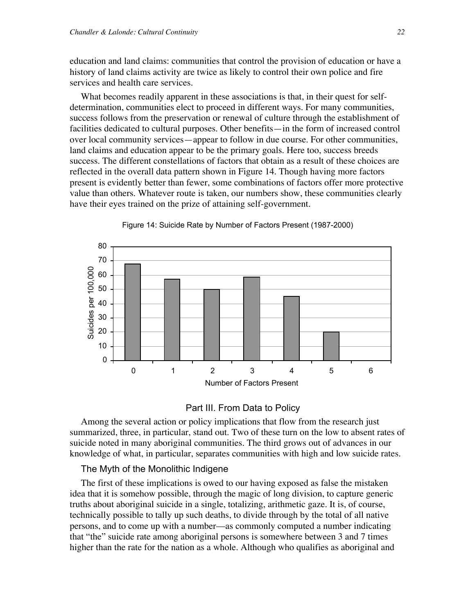education and land claims: communities that control the provision of education or have a history of land claims activity are twice as likely to control their own police and fire services and health care services.

What becomes readily apparent in these associations is that, in their quest for selfdetermination, communities elect to proceed in different ways. For many communities, success follows from the preservation or renewal of culture through the establishment of facilities dedicated to cultural purposes. Other benefits—in the form of increased control over local community services—appear to follow in due course. For other communities, land claims and education appear to be the primary goals. Here too, success breeds success. The different constellations of factors that obtain as a result of these choices are reflected in the overall data pattern shown in Figure 14. Though having more factors present is evidently better than fewer, some combinations of factors offer more protective value than others. Whatever route is taken, our numbers show, these communities clearly have their eyes trained on the prize of attaining self-government.



Figure 14: Suicide Rate by Number of Factors Present (1987-2000)

## Part III. From Data to Policy

Among the several action or policy implications that flow from the research just summarized, three, in particular, stand out. Two of these turn on the low to absent rates of suicide noted in many aboriginal communities. The third grows out of advances in our knowledge of what, in particular, separates communities with high and low suicide rates.

## The Myth of the Monolithic Indigene

The first of these implications is owed to our having exposed as false the mistaken idea that it is somehow possible, through the magic of long division, to capture generic truths about aboriginal suicide in a single, totalizing, arithmetic gaze. It is, of course, technically possible to tally up such deaths, to divide through by the total of all native persons, and to come up with a number––as commonly computed a number indicating that "the" suicide rate among aboriginal persons is somewhere between 3 and 7 times higher than the rate for the nation as a whole. Although who qualifies as aboriginal and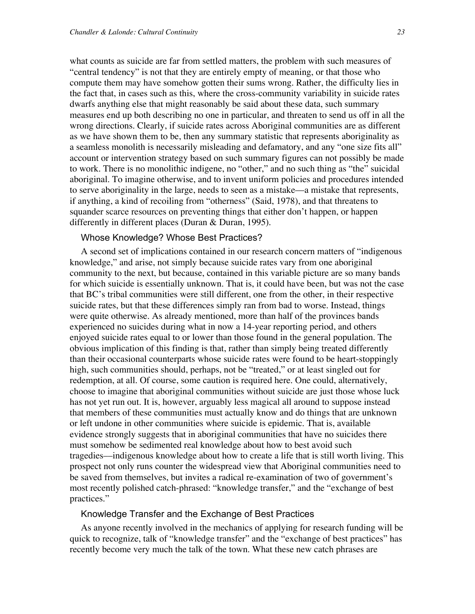what counts as suicide are far from settled matters, the problem with such measures of "central tendency" is not that they are entirely empty of meaning, or that those who compute them may have somehow gotten their sums wrong. Rather, the difficulty lies in the fact that, in cases such as this, where the cross-community variability in suicide rates dwarfs anything else that might reasonably be said about these data, such summary measures end up both describing no one in particular, and threaten to send us off in all the wrong directions. Clearly, if suicide rates across Aboriginal communities are as different as we have shown them to be, then any summary statistic that represents aboriginality as a seamless monolith is necessarily misleading and defamatory, and any "one size fits all" account or intervention strategy based on such summary figures can not possibly be made to work. There is no monolithic indigene, no "other," and no such thing as "the" suicidal aboriginal. To imagine otherwise, and to invent uniform policies and procedures intended to serve aboriginality in the large, needs to seen as a mistake––a mistake that represents, if anything, a kind of recoiling from "otherness" (Said, 1978), and that threatens to squander scarce resources on preventing things that either don't happen, or happen differently in different places (Duran & Duran, 1995).

#### Whose Knowledge? Whose Best Practices?

A second set of implications contained in our research concern matters of "indigenous knowledge," and arise, not simply because suicide rates vary from one aboriginal community to the next, but because, contained in this variable picture are so many bands for which suicide is essentially unknown. That is, it could have been, but was not the case that BC's tribal communities were still different, one from the other, in their respective suicide rates, but that these differences simply ran from bad to worse. Instead, things were quite otherwise. As already mentioned, more than half of the provinces bands experienced no suicides during what in now a 14-year reporting period, and others enjoyed suicide rates equal to or lower than those found in the general population. The obvious implication of this finding is that, rather than simply being treated differently than their occasional counterparts whose suicide rates were found to be heart-stoppingly high, such communities should, perhaps, not be "treated," or at least singled out for redemption, at all. Of course, some caution is required here. One could, alternatively, choose to imagine that aboriginal communities without suicide are just those whose luck has not yet run out. It is, however, arguably less magical all around to suppose instead that members of these communities must actually know and do things that are unknown or left undone in other communities where suicide is epidemic. That is, available evidence strongly suggests that in aboriginal communities that have no suicides there must somehow be sedimented real knowledge about how to best avoid such tragedies––indigenous knowledge about how to create a life that is still worth living. This prospect not only runs counter the widespread view that Aboriginal communities need to be saved from themselves, but invites a radical re-examination of two of government's most recently polished catch-phrased: "knowledge transfer," and the "exchange of best practices."

#### Knowledge Transfer and the Exchange of Best Practices

As anyone recently involved in the mechanics of applying for research funding will be quick to recognize, talk of "knowledge transfer" and the "exchange of best practices" has recently become very much the talk of the town. What these new catch phrases are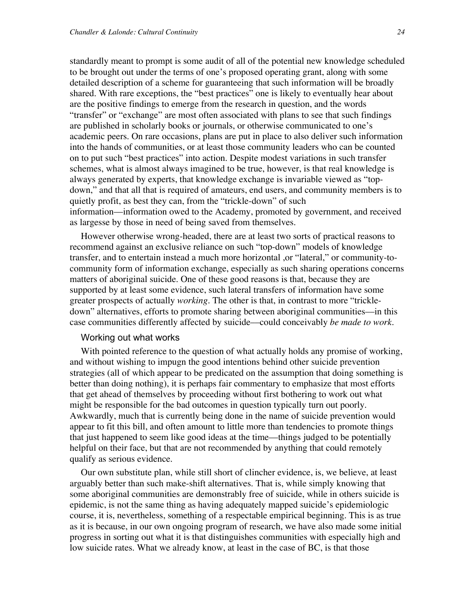standardly meant to prompt is some audit of all of the potential new knowledge scheduled to be brought out under the terms of one's proposed operating grant, along with some detailed description of a scheme for guaranteeing that such information will be broadly shared. With rare exceptions, the "best practices" one is likely to eventually hear about are the positive findings to emerge from the research in question, and the words "transfer" or "exchange" are most often associated with plans to see that such findings are published in scholarly books or journals, or otherwise communicated to one's academic peers. On rare occasions, plans are put in place to also deliver such information into the hands of communities, or at least those community leaders who can be counted on to put such "best practices" into action. Despite modest variations in such transfer schemes, what is almost always imagined to be true, however, is that real knowledge is always generated by experts, that knowledge exchange is invariable viewed as "topdown," and that all that is required of amateurs, end users, and community members is to quietly profit, as best they can, from the "trickle-down" of such information––information owed to the Academy, promoted by government, and received as largesse by those in need of being saved from themselves.

However otherwise wrong-headed, there are at least two sorts of practical reasons to recommend against an exclusive reliance on such "top-down" models of knowledge transfer, and to entertain instead a much more horizontal ,or "lateral," or community-tocommunity form of information exchange, especially as such sharing operations concerns matters of aboriginal suicide. One of these good reasons is that, because they are supported by at least some evidence, such lateral transfers of information have some greater prospects of actually *working*. The other is that, in contrast to more "trickledown" alternatives, efforts to promote sharing between aboriginal communities––in this case communities differently affected by suicide––could conceivably *be made to work.*

#### Working out what works

With pointed reference to the question of what actually holds any promise of working, and without wishing to impugn the good intentions behind other suicide prevention strategies (all of which appear to be predicated on the assumption that doing something is better than doing nothing), it is perhaps fair commentary to emphasize that most efforts that get ahead of themselves by proceeding without first bothering to work out what might be responsible for the bad outcomes in question typically turn out poorly. Awkwardly, much that is currently being done in the name of suicide prevention would appear to fit this bill, and often amount to little more than tendencies to promote things that just happened to seem like good ideas at the time––things judged to be potentially helpful on their face, but that are not recommended by anything that could remotely qualify as serious evidence.

Our own substitute plan, while still short of clincher evidence, is, we believe, at least arguably better than such make-shift alternatives. That is, while simply knowing that some aboriginal communities are demonstrably free of suicide, while in others suicide is epidemic, is not the same thing as having adequately mapped suicide's epidemiologic course, it is, nevertheless, something of a respectable empirical beginning. This is as true as it is because, in our own ongoing program of research, we have also made some initial progress in sorting out what it is that distinguishes communities with especially high and low suicide rates. What we already know, at least in the case of BC, is that those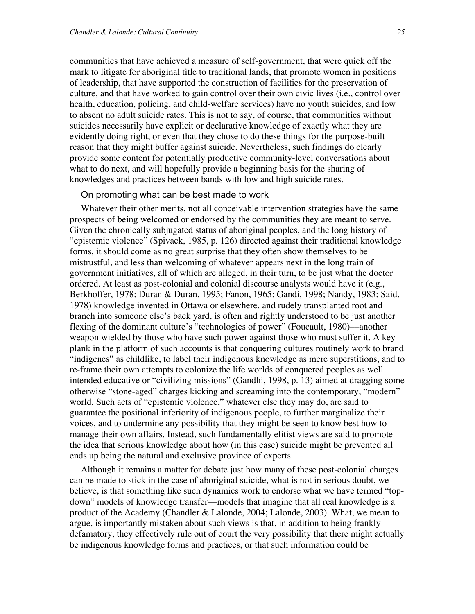communities that have achieved a measure of self-government, that were quick off the mark to litigate for aboriginal title to traditional lands, that promote women in positions of leadership, that have supported the construction of facilities for the preservation of culture, and that have worked to gain control over their own civic lives (i.e., control over health, education, policing, and child-welfare services) have no youth suicides, and low to absent no adult suicide rates. This is not to say, of course, that communities without suicides necessarily have explicit or declarative knowledge of exactly what they are evidently doing right, or even that they chose to do these things for the purpose-built reason that they might buffer against suicide. Nevertheless, such findings do clearly provide some content for potentially productive community-level conversations about what to do next, and will hopefully provide a beginning basis for the sharing of knowledges and practices between bands with low and high suicide rates.

#### On promoting what can be best made to work

Whatever their other merits, not all conceivable intervention strategies have the same prospects of being welcomed or endorsed by the communities they are meant to serve. Given the chronically subjugated status of aboriginal peoples, and the long history of "epistemic violence" (Spivack, 1985, p. 126) directed against their traditional knowledge forms, it should come as no great surprise that they often show themselves to be mistrustful, and less than welcoming of whatever appears next in the long train of government initiatives, all of which are alleged, in their turn, to be just what the doctor ordered. At least as post-colonial and colonial discourse analysts would have it (e.g., Berkhoffer, 1978; Duran & Duran, 1995; Fanon, 1965; Gandi, 1998; Nandy, 1983; Said, 1978) knowledge invented in Ottawa or elsewhere, and rudely transplanted root and branch into someone else's back yard, is often and rightly understood to be just another flexing of the dominant culture's "technologies of power" (Foucault, 1980)––another weapon wielded by those who have such power against those who must suffer it. A key plank in the platform of such accounts is that conquering cultures routinely work to brand "indigenes" as childlike, to label their indigenous knowledge as mere superstitions, and to re-frame their own attempts to colonize the life worlds of conquered peoples as well intended educative or "civilizing missions" (Gandhi, 1998, p. 13) aimed at dragging some otherwise "stone-aged" charges kicking and screaming into the contemporary, "modern" world. Such acts of "epistemic violence," whatever else they may do, are said to guarantee the positional inferiority of indigenous people, to further marginalize their voices, and to undermine any possibility that they might be seen to know best how to manage their own affairs. Instead, such fundamentally elitist views are said to promote the idea that serious knowledge about how (in this case) suicide might be prevented all ends up being the natural and exclusive province of experts.

Although it remains a matter for debate just how many of these post-colonial charges can be made to stick in the case of aboriginal suicide, what is not in serious doubt, we believe, is that something like such dynamics work to endorse what we have termed "topdown" models of knowledge transfer––models that imagine that all real knowledge is a product of the Academy (Chandler & Lalonde, 2004; Lalonde, 2003). What, we mean to argue, is importantly mistaken about such views is that, in addition to being frankly defamatory, they effectively rule out of court the very possibility that there might actually be indigenous knowledge forms and practices, or that such information could be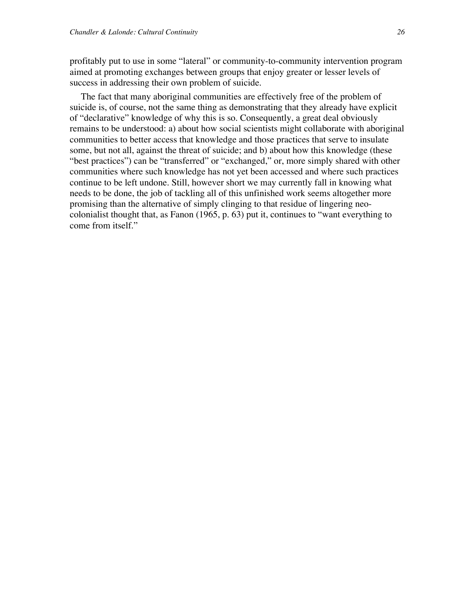profitably put to use in some "lateral" or community-to-community intervention program aimed at promoting exchanges between groups that enjoy greater or lesser levels of success in addressing their own problem of suicide.

The fact that many aboriginal communities are effectively free of the problem of suicide is, of course, not the same thing as demonstrating that they already have explicit of "declarative" knowledge of why this is so. Consequently, a great deal obviously remains to be understood: a) about how social scientists might collaborate with aboriginal communities to better access that knowledge and those practices that serve to insulate some, but not all, against the threat of suicide; and b) about how this knowledge (these "best practices") can be "transferred" or "exchanged," or, more simply shared with other communities where such knowledge has not yet been accessed and where such practices continue to be left undone. Still, however short we may currently fall in knowing what needs to be done, the job of tackling all of this unfinished work seems altogether more promising than the alternative of simply clinging to that residue of lingering neocolonialist thought that, as Fanon (1965, p. 63) put it, continues to "want everything to come from itself."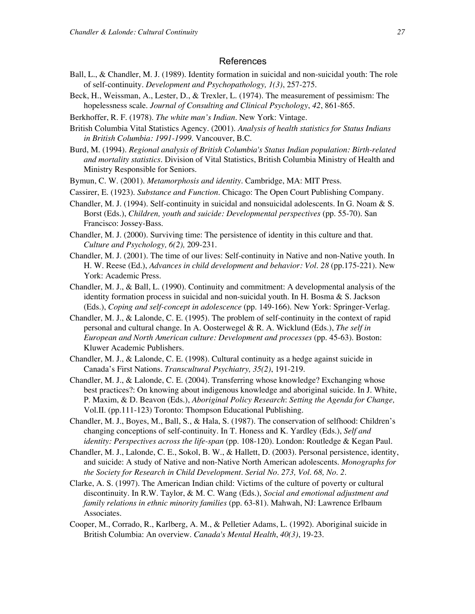# References

- Ball, L., & Chandler, M. J. (1989). Identity formation in suicidal and non-suicidal youth: The role of self-continuity. *Development and Psychopathology, 1(3)*, 257-275.
- Beck, H., Weissman, A., Lester, D., & Trexler, L. (1974). The measurement of pessimism: The hopelessness scale. *Journal of Consulting and Clinical Psychology*, *42*, 861-865.
- Berkhoffer, R. F. (1978). *The white man's Indian.* New York: Vintage.
- British Columbia Vital Statistics Agency. (2001). *Analysis of health statistics for Status Indians in British Columbia: 1991-1999.* Vancouver, B.C.
- Burd, M. (1994). *Regional analysis of British Columbia's Status Indian population: Birth-related and mortality statistics*. Division of Vital Statistics, British Columbia Ministry of Health and Ministry Responsible for Seniors.
- Bymun, C. W. (2001). *Metamorphosis and identity.* Cambridge, MA: MIT Press.
- Cassirer, E. (1923). *Substance and Function*. Chicago: The Open Court Publishing Company.
- Chandler, M. J. (1994). Self-continuity in suicidal and nonsuicidal adolescents. In G. Noam & S. Borst (Eds.), *Children, youth and suicide: Developmental perspectives* (pp. 55-70). San Francisco: Jossey-Bass.
- Chandler, M. J. (2000). Surviving time: The persistence of identity in this culture and that. *Culture and Psychology, 6(2),* 209-231.
- Chandler, M. J. (2001). The time of our lives: Self-continuity in Native and non-Native youth. In H. W. Reese (Ed.), *Advances in child development and behavior: Vol. 28* (pp.175-221). New York: Academic Press.
- Chandler, M. J., & Ball, L. (1990). Continuity and commitment: A developmental analysis of the identity formation process in suicidal and non-suicidal youth. In H. Bosma & S. Jackson (Eds.), *Coping and self-concept in adolescence* (pp. 149-166). New York: Springer-Verlag.
- Chandler, M. J., & Lalonde, C. E. (1995). The problem of self-continuity in the context of rapid personal and cultural change. In A. Oosterwegel & R. A. Wicklund (Eds*.*), *The self in European and North American culture: Development and processes* (pp. 45-63). Boston: Kluwer Academic Publishers.
- Chandler, M. J., & Lalonde, C. E. (1998). Cultural continuity as a hedge against suicide in Canada's First Nations. *Transcultural Psychiatry, 35(2)*, 191-219.
- Chandler, M. J., & Lalonde, C. E. (2004). Transferring whose knowledge? Exchanging whose best practices?: On knowing about indigenous knowledge and aboriginal suicide. In J. White, P. Maxim, & D. Beavon (Eds.), *Aboriginal Policy Research*: *Setting the Agenda for Change,* Vol.II. (pp.111-123) Toronto: Thompson Educational Publishing.
- Chandler, M. J., Boyes, M., Ball, S., & Hala, S. (1987). The conservation of selfhood: Children's changing conceptions of self-continuity. In T. Honess and K. Yardley (Eds.), *Self and identity: Perspectives across the life-span* (pp. 108-120). London: Routledge & Kegan Paul.
- Chandler, M. J., Lalonde, C. E., Sokol, B. W., & Hallett, D. (2003). Personal persistence, identity, and suicide: A study of Native and non-Native North American adolescents. *Monographs for the Society for Research in Child Development. Serial No. 273, Vol. 68, No. 2*.
- Clarke, A. S. (1997). The American Indian child: Victims of the culture of poverty or cultural discontinuity. In R.W. Taylor, & M. C. Wang (Eds.), *Social and emotional adjustment and family relations in ethnic minority families* (pp. 63-81). Mahwah, NJ: Lawrence Erlbaum Associates.
- Cooper, M., Corrado, R., Karlberg, A. M., & Pelletier Adams, L. (1992). Aboriginal suicide in British Columbia: An overview. *Canada's Mental Health*, *40(3)*, 19-23.